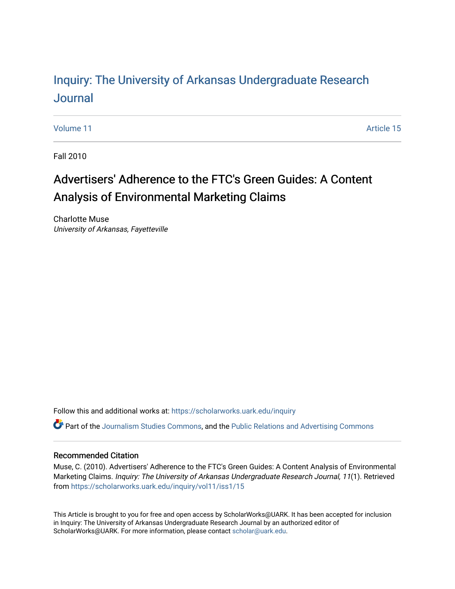# Inquiry: The Univ[ersity of Arkansas Undergraduate Resear](https://scholarworks.uark.edu/inquiry)ch [Journal](https://scholarworks.uark.edu/inquiry)

[Volume 11](https://scholarworks.uark.edu/inquiry/vol11) Article 15

Fall 2010

# Advertisers' Adherence to the FTC's Green Guides: A Content Analysis of Environmental Marketing Claims

Charlotte Muse University of Arkansas, Fayetteville

Follow this and additional works at: [https://scholarworks.uark.edu/inquiry](https://scholarworks.uark.edu/inquiry?utm_source=scholarworks.uark.edu%2Finquiry%2Fvol11%2Fiss1%2F15&utm_medium=PDF&utm_campaign=PDFCoverPages)

Part of the [Journalism Studies Commons](http://network.bepress.com/hgg/discipline/333?utm_source=scholarworks.uark.edu%2Finquiry%2Fvol11%2Fiss1%2F15&utm_medium=PDF&utm_campaign=PDFCoverPages), and the [Public Relations and Advertising Commons](http://network.bepress.com/hgg/discipline/336?utm_source=scholarworks.uark.edu%2Finquiry%2Fvol11%2Fiss1%2F15&utm_medium=PDF&utm_campaign=PDFCoverPages)

### Recommended Citation

Muse, C. (2010). Advertisers' Adherence to the FTC's Green Guides: A Content Analysis of Environmental Marketing Claims. Inquiry: The University of Arkansas Undergraduate Research Journal, 11(1). Retrieved from [https://scholarworks.uark.edu/inquiry/vol11/iss1/15](https://scholarworks.uark.edu/inquiry/vol11/iss1/15?utm_source=scholarworks.uark.edu%2Finquiry%2Fvol11%2Fiss1%2F15&utm_medium=PDF&utm_campaign=PDFCoverPages) 

This Article is brought to you for free and open access by ScholarWorks@UARK. It has been accepted for inclusion in Inquiry: The University of Arkansas Undergraduate Research Journal by an authorized editor of ScholarWorks@UARK. For more information, please contact [scholar@uark.edu](mailto:scholar@uark.edu).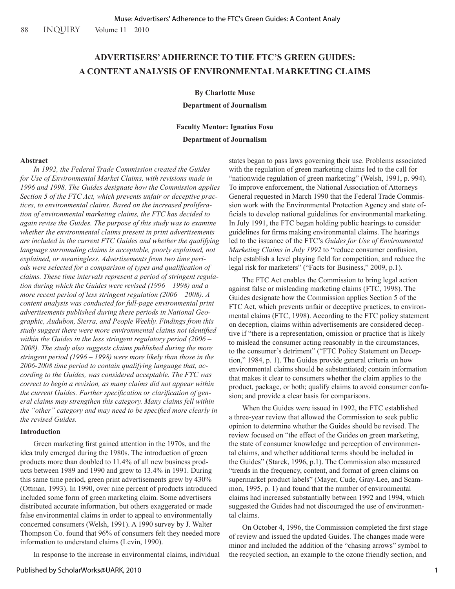## **ADVERTISERS' ADHERENCE TO THE FTC'S GREEN GUIDES: A CONTENT ANALYSIS OF ENVIRONMENTAL MARKETING CLAIMS**

#### **By Charlotte Muse**

**Department of Journalism**

## **Faculty Mentor: Ignatius Fosu Department of Journalism**

#### **Abstract**

*In 1992, the Federal Trade Commission created the Guides for Use of Environmental Market Claims, with revisions made in 1996 and 1998. The Guides designate how the Commission applies Section 5 of the FTC Act, which prevents unfair or deceptive practices, to environmental claims. Based on the increased proliferation of environmental marketing claims, the FTC has decided to again revise the Guides. The purpose of this study was to examine whether the environmental claims present in print advertisements are included in the current FTC Guides and whether the qualifying language surrounding claims is acceptable, poorly explained, not explained, or meaningless. Advertisements from two time periods were selected for a comparison of types and qualification of claims. These time intervals represent a period of stringent regulation during which the Guides were revised (1996 – 1998) and a more recent period of less stringent regulation (2006 – 2008). A content analysis was conducted for full-page environmental print advertisements published during these periods in National Geographic, Audubon, Sierra, and People Weekly. Findings from this study suggest there were more environmental claims not identified within the Guides in the less stringent regulatory period (2006 – 2008). The study also suggests claims published during the more stringent period (1996 – 1998) were more likely than those in the 2006-2008 time period to contain qualifying language that, according to the Guides, was considered acceptable. The FTC was correct to begin a revision, as many claims did not appear within the current Guides. Further specification or clarification of general claims may strengthen this category. Many claims fell within the "other" category and may need to be specified more clearly in the revised Guides.* 

#### **Introduction**

Green marketing first gained attention in the 1970s, and the idea truly emerged during the 1980s. The introduction of green products more than doubled to 11.4% of all new business products between 1989 and 1990 and grew to 13.4% in 1991. During this same time period, green print advertisements grew by 430% (Ottman, 1993). In 1990, over nine percent of products introduced included some form of green marketing claim. Some advertisers distributed accurate information, but others exaggerated or made false environmental claims in order to appeal to environmentally concerned consumers (Welsh, 1991). A 1990 survey by J. Walter Thompson Co. found that 96% of consumers felt they needed more information to understand claims (Levin, 1990).

In response to the increase in environmental claims, individual

states began to pass laws governing their use. Problems associated with the regulation of green marketing claims led to the call for "nationwide regulation of green marketing" (Welsh, 1991, p. 994). To improve enforcement, the National Association of Attorneys General requested in March 1990 that the Federal Trade Commission work with the Environmental Protection Agency and state officials to develop national guidelines for environmental marketing. In July 1991, the FTC began holding public hearings to consider guidelines for firms making environmental claims. The hearings led to the issuance of the FTC's *Guides for Use of Environmental Marketing Claims in July 1992* to "reduce consumer confusion, help establish a level playing field for competition, and reduce the legal risk for marketers" ("Facts for Business," 2009, p.1).

The FTC Act enables the Commission to bring legal action against false or misleading marketing claims (FTC, 1998). The Guides designate how the Commission applies Section 5 of the FTC Act, which prevents unfair or deceptive practices, to environmental claims (FTC, 1998). According to the FTC policy statement on deception, claims within advertisements are considered deceptive if "there is a representation, omission or practice that is likely to mislead the consumer acting reasonably in the circumstances, to the consumer's detriment" ("FTC Policy Statement on Deception," 1984, p. 1). The Guides provide general criteria on how environmental claims should be substantiated; contain information that makes it clear to consumers whether the claim applies to the product, package, or both; qualify claims to avoid consumer confusion; and provide a clear basis for comparisons.

When the Guides were issued in 1992, the FTC established a three-year review that allowed the Commission to seek public opinion to determine whether the Guides should be revised. The review focused on "the effect of the Guides on green marketing, the state of consumer knowledge and perception of environmental claims, and whether additional terms should be included in the Guides" (Starek, 1996, p.1). The Commission also measured "trends in the frequency, content, and format of green claims on supermarket product labels" (Mayer, Cude, Gray-Lee, and Scammon, 1995, p. 1) and found that the number of environmental claims had increased substantially between 1992 and 1994, which suggested the Guides had not discouraged the use of environmental claims.

On October 4, 1996, the Commission completed the first stage of review and issued the updated Guides. The changes made were minor and included the addition of the "chasing arrows" symbol to the recycled section, an example to the ozone friendly section, and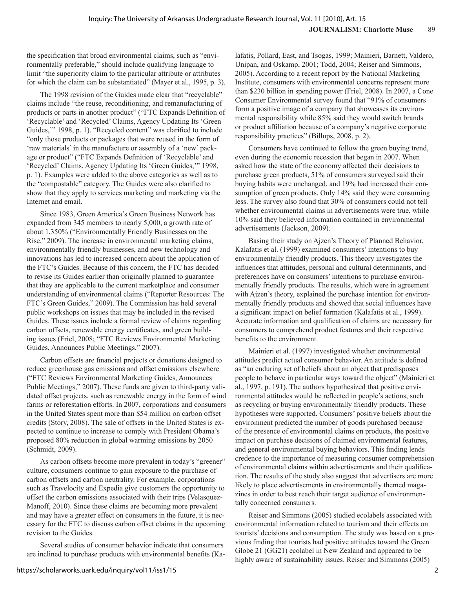the specification that broad environmental claims, such as "environmentally preferable," should include qualifying language to limit "the superiority claim to the particular attribute or attributes for which the claim can be substantiated" (Mayer et al., 1995, p. 3).

The 1998 revision of the Guides made clear that "recyclable" claims include "the reuse, reconditioning, and remanufacturing of products or parts in another product" ("FTC Expands Definition of 'Recyclable' and 'Recycled' Claims, Agency Updating Its 'Green Guides,'" 1998, p. 1). "Recycled content" was clarified to include "only those products or packages that were reused in the form of 'raw materials' in the manufacture or assembly of a 'new' package or product" ("FTC Expands Definition of 'Recyclable' and 'Recycled' Claims, Agency Updating Its 'Green Guides,'" 1998, p. 1). Examples were added to the above categories as well as to the "compostable" category. The Guides were also clarified to show that they apply to services marketing and marketing via the Internet and email.

Since 1983, Green America's Green Business Network has expanded from 345 members to nearly 5,000, a growth rate of about 1,350% ("Environmentally Friendly Businesses on the Rise," 2009). The increase in environmental marketing claims, environmentally friendly businesses, and new technology and innovations has led to increased concern about the application of the FTC's Guides. Because of this concern, the FTC has decided to revise its Guides earlier than originally planned to guarantee that they are applicable to the current marketplace and consumer understanding of environmental claims ("Reporter Resources: The FTC's Green Guides," 2009). The Commission has held several public workshops on issues that may be included in the revised Guides. These issues include a formal review of claims regarding carbon offsets, renewable energy certificates, and green building issues (Friel, 2008; "FTC Reviews Environmental Marketing Guides, Announces Public Meetings," 2007).

Carbon offsets are financial projects or donations designed to reduce greenhouse gas emissions and offset emissions elsewhere ("FTC Reviews Environmental Marketing Guides, Announces Public Meetings," 2007). These funds are given to third-party validated offset projects, such as renewable energy in the form of wind farms or reforestation efforts. In 2007, corporations and consumers in the United States spent more than \$54 million on carbon offset credits (Story, 2008). The sale of offsets in the United States is expected to continue to increase to comply with President Obama's proposed 80% reduction in global warming emissions by 2050 (Schmidt, 2009).

As carbon offsets become more prevalent in today's "greener" culture, consumers continue to gain exposure to the purchase of carbon offsets and carbon neutrality. For example, corporations such as Travelocity and Expedia give customers the opportunity to offset the carbon emissions associated with their trips (Velasquez-Manoff, 2010). Since these claims are becoming more prevalent and may have a greater effect on consumers in the future, it is necessary for the FTC to discuss carbon offset claims in the upcoming revision to the Guides.

Several studies of consumer behavior indicate that consumers are inclined to purchase products with environmental benefits (Kalafatis, Pollard, East, and Tsogas, 1999; Mainieri, Barnett, Valdero, Unipan, and Oskamp, 2001; Todd, 2004; Reiser and Simmons, 2005). According to a recent report by the National Marketing Institute, consumers with environmental concerns represent more than \$230 billion in spending power (Friel, 2008). In 2007, a Cone Consumer Environmental survey found that "91% of consumers form a positive image of a company that showcases its environmental responsibility while 85% said they would switch brands or product affiliation because of a company's negative corporate responsibility practices" (Billups, 2008, p. 2).

Consumers have continued to follow the green buying trend, even during the economic recession that began in 2007. When asked how the state of the economy affected their decisions to purchase green products, 51% of consumers surveyed said their buying habits were unchanged, and 19% had increased their consumption of green products. Only 14% said they were consuming less. The survey also found that 30% of consumers could not tell whether environmental claims in advertisements were true, while 10% said they believed information contained in environmental advertisements (Jackson, 2009).

Basing their study on Ajzen's Theory of Planned Behavior, Kalafatis et al. (1999) examined consumers' intentions to buy environmentally friendly products. This theory investigates the influences that attitudes, personal and cultural determinants, and preferences have on consumers' intentions to purchase environmentally friendly products. The results, which were in agreement with Ajzen's theory, explained the purchase intention for environmentally friendly products and showed that social influences have a significant impact on belief formation (Kalafatis et al., 1999). Accurate information and qualification of claims are necessary for consumers to comprehend product features and their respective benefits to the environment.

Mainieri et al. (1997) investigated whether environmental attitudes predict actual consumer behavior. An attitude is defined as "an enduring set of beliefs about an object that predisposes people to behave in particular ways toward the object" (Mainieri et al., 1997, p. 191). The authors hypothesized that positive environmental attitudes would be reflected in people's actions, such as recycling or buying environmentally friendly products. These hypotheses were supported. Consumers' positive beliefs about the environment predicted the number of goods purchased because of the presence of environmental claims on products, the positive impact on purchase decisions of claimed environmental features, and general environmental buying behaviors. This finding lends credence to the importance of measuring consumer comprehension of environmental claims within advertisements and their qualification. The results of the study also suggest that advertisers are more likely to place advertisements in environmentally themed magazines in order to best reach their target audience of environmentally concerned consumers.

Reiser and Simmons (2005) studied ecolabels associated with environmental information related to tourism and their effects on tourists' decisions and consumption. The study was based on a previous finding that tourists had positive attitudes toward the Green Globe 21 (GG21) ecolabel in New Zealand and appeared to be highly aware of sustainability issues. Reiser and Simmons (2005)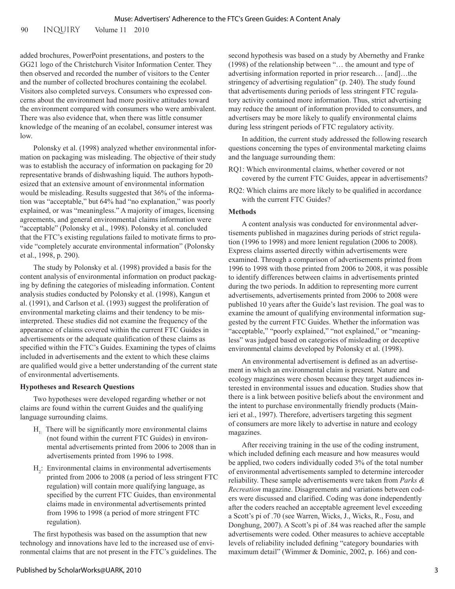90 INQUIRY Volume 11 2010

added brochures, PowerPoint presentations, and posters to the GG21 logo of the Christchurch Visitor Information Center. They then observed and recorded the number of visitors to the Center and the number of collected brochures containing the ecolabel. Visitors also completed surveys. Consumers who expressed concerns about the environment had more positive attitudes toward the environment compared with consumers who were ambivalent. There was also evidence that, when there was little consumer knowledge of the meaning of an ecolabel, consumer interest was low.

Polonsky et al. (1998) analyzed whether environmental information on packaging was misleading. The objective of their study was to establish the accuracy of information on packaging for 20 representative brands of dishwashing liquid. The authors hypothesized that an extensive amount of environmental information would be misleading. Results suggested that 36% of the information was "acceptable," but 64% had "no explanation," was poorly explained, or was "meaningless." A majority of images, licensing agreements, and general environmental claims information were "acceptable" (Polonsky et al., 1998). Polonsky et al. concluded that the FTC's existing regulations failed to motivate firms to provide "completely accurate environmental information" (Polonsky et al., 1998, p. 290).

The study by Polonsky et al. (1998) provided a basis for the content analysis of environmental information on product packaging by defining the categories of misleading information. Content analysis studies conducted by Polonsky et al. (1998), Kangun et al. (1991), and Carlson et al. (1993) suggest the proliferation of environmental marketing claims and their tendency to be misinterpreted. These studies did not examine the frequency of the appearance of claims covered within the current FTC Guides in advertisements or the adequate qualification of these claims as specified within the FTC's Guides. Examining the types of claims included in advertisements and the extent to which these claims are qualified would give a better understanding of the current state of environmental advertisements.

#### **Hypotheses and Research Questions**

Two hypotheses were developed regarding whether or not claims are found within the current Guides and the qualifying language surrounding claims.

- $H<sub>1</sub>$ . There will be significantly more environmental claims (not found within the current FTC Guides) in environmental advertisements printed from 2006 to 2008 than in advertisements printed from 1996 to 1998.
- $H_2$ : Environmental claims in environmental advertisements printed from 2006 to 2008 (a period of less stringent FTC regulation) will contain more qualifying language, as specified by the current FTC Guides, than environmental claims made in environmental advertisements printed from 1996 to 1998 (a period of more stringent FTC regulation).

The first hypothesis was based on the assumption that new technology and innovations have led to the increased use of environmental claims that are not present in the FTC's guidelines. The second hypothesis was based on a study by Abernethy and Franke (1998) of the relationship between "… the amount and type of advertising information reported in prior research… [and]…the stringency of advertising regulation" (p. 240). The study found that advertisements during periods of less stringent FTC regulatory activity contained more information. Thus, strict advertising may reduce the amount of information provided to consumers, and advertisers may be more likely to qualify environmental claims during less stringent periods of FTC regulatory activity.

In addition, the current study addressed the following research questions concerning the types of environmental marketing claims and the language surrounding them:

- RQ1: Which environmental claims, whether covered or not covered by the current FTC Guides, appear in advertisements?
- RQ2: Which claims are more likely to be qualified in accordance with the current FTC Guides?

#### **Methods**

A content analysis was conducted for environmental advertisements published in magazines during periods of strict regulation (1996 to 1998) and more lenient regulation (2006 to 2008). Express claims asserted directly within advertisements were examined. Through a comparison of advertisements printed from 1996 to 1998 with those printed from 2006 to 2008, it was possible to identify differences between claims in advertisements printed during the two periods. In addition to representing more current advertisements, advertisements printed from 2006 to 2008 were published 10 years after the Guide's last revision. The goal was to examine the amount of qualifying environmental information suggested by the current FTC Guides. Whether the information was "acceptable," "poorly explained," "not explained," or "meaningless" was judged based on categories of misleading or deceptive environmental claims developed by Polonsky et al. (1998).

An environmental advertisement is defined as an advertisement in which an environmental claim is present. Nature and ecology magazines were chosen because they target audiences interested in environmental issues and education. Studies show that there is a link between positive beliefs about the environment and the intent to purchase environmentally friendly products (Mainieri et al., 1997). Therefore, advertisers targeting this segment of consumers are more likely to advertise in nature and ecology magazines.

After receiving training in the use of the coding instrument, which included defining each measure and how measures would be applied, two coders individually coded 3% of the total number of environmental advertisements sampled to determine intercoder reliability. These sample advertisements were taken from *Parks & Recreation* magazine. Disagreements and variations between coders were discussed and clarified. Coding was done independently after the coders reached an acceptable agreement level exceeding a Scott's pi of .70 (see Warren, Wicks, J., Wicks, R., Fosu, and Donghung, 2007). A Scott's pi of .84 was reached after the sample advertisements were coded. Other measures to achieve acceptable levels of reliability included defining "category boundaries with maximum detail" (Wimmer & Dominic, 2002, p. 166) and con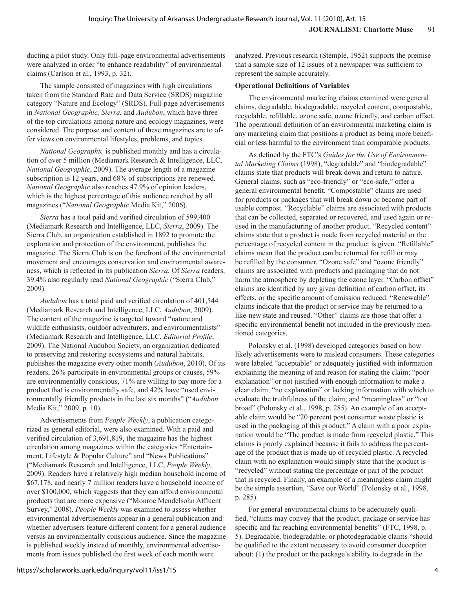ducting a pilot study. Only full-page environmental advertisements were analyzed in order "to enhance readability" of environmental claims (Carlson et al., 1993, p. 32).

The sample consisted of magazines with high circulations taken from the Standard Rate and Data Service (SRDS) magazine category "Nature and Ecology" (SRDS). Full-page advertisements in *National Geographic, Sierra,* and *Audubon*, which have three of the top circulations among nature and ecology magazines, were considered. The purpose and content of these magazines are to offer views on environmental lifestyles, problems, and topics.

*National Geographic* is published monthly and has a circulation of over 5 million (Mediamark Research & Intelligence, LLC, *National Geographic*, 2009). The average length of a magazine subscription is 12 years, and 68% of subscriptions are renewed. *National Geographic* also reaches 47.9% of opinion leaders, which is the highest percentage of this audience reached by all magazines ("*National Geographic* Media Kit," 2006).

*Sierra* has a total paid and verified circulation of 599,400 (Mediamark Research and Intelligence, LLC, *Sierra*, 2009). The Sierra Club, an organization established in 1892 to promote the exploration and protection of the environment, publishes the magazine. The Sierra Club is on the forefront of the environmental movement and encourages conservation and environmental awareness, which is reflected in its publication *Sierra*. Of *Sierra* readers, 39.4% also regularly read *National Geographic* ("Sierra Club," 2009).

*Audubon* has a total paid and verified circulation of 401,544 (Mediamark Research and Intelligence, LLC, *Audubon*, 2009). The content of the magazine is targeted toward "nature and wildlife enthusiasts, outdoor adventurers, and environmentalists" (Mediamark Research and Intelligence, LLC, *Editorial Profile*, 2009). The National Audubon Society, an organization dedicated to preserving and restoring ecosystems and natural habitats, publishes the magazine every other month (*Audubon*, 2010). Of its readers, 26% participate in environmental groups or causes, 59% are environmentally conscious, 71% are willing to pay more for a product that is environmentally safe, and 42% have "used environmentally friendly products in the last six months" ("*Audubon* Media Kit," 2009, p. 10).

Advertisements from *People Weekly*, a publication categorized as general editorial, were also examined. With a paid and verified circulation of 3,691,819, the magazine has the highest circulation among magazines within the categories "Entertainment, Lifestyle & Popular Culture" and "News Publications" ("Mediamark Research and Intelligence, LLC, *People Weekly*, 2009). Readers have a relatively high median household income of \$67,178, and nearly 7 million readers have a household income of over \$100,000, which suggests that they can afford environmental products that are more expensive ("Monroe Mendelsohn Affluent Survey," 2008). *People Weekly* was examined to assess whether environmental advertisements appear in a general publication and whether advertisers feature different content for a general audience versus an environmentally conscious audience. Since the magazine is published weekly instead of monthly, environmental advertisements from issues published the first week of each month were

#### **Operational Definitions of Variables**

The environmental marketing claims examined were general claims, degradable, biodegradable, recycled content, compostable, recyclable, refillable, ozone safe, ozone friendly, and carbon offset. The operational definition of an environmental marketing claim is any marketing claim that positions a product as being more beneficial or less harmful to the environment than comparable products.

As defined by the FTC's *Guides for the Use of Environmental Marketing Claims* (1998), "degradable" and "biodegradable" claims state that products will break down and return to nature. General claims, such as "eco-friendly" or "eco-safe," offer a general environmental benefit. "Compostable" claims are used for products or packages that will break down or become part of usable compost. "Recyclable" claims are associated with products that can be collected, separated or recovered, and used again or reused in the manufacturing of another product. "Recycled content" claims state that a product is made from recycled material or the percentage of recycled content in the product is given. "Refillable" claims mean that the product can be returned for refill or may be refilled by the consumer. "Ozone safe" and "ozone friendly" claims are associated with products and packaging that do not harm the atmosphere by depleting the ozone layer. "Carbon offset" claims are identified by any given definition of carbon offset, its effects, or the specific amount of emission reduced. "Renewable" claims indicate that the product or service may be returned to a like-new state and reused. "Other" claims are those that offer a specific environmental benefit not included in the previously mentioned categories.

Polonsky et al. (1998) developed categories based on how likely advertisements were to mislead consumers. These categories were labeled "acceptable" or adequately justified with information explaining the meaning of and reason for stating the claim; "poor explanation" or not justified with enough information to make a clear claim; "no explanation" or lacking information with which to evaluate the truthfulness of the claim; and "meaningless" or "too broad" (Polonsky et al., 1998, p. 285). An example of an acceptable claim would be "20 percent post consumer waste plastic is used in the packaging of this product." A claim with a poor explanation would be "The product is made from recycled plastic." This claims is poorly explained because it fails to address the percentage of the product that is made up of recycled plastic. A recycled claim with no explanation would simply state that the product is "recycled" without stating the percentage or part of the product that is recycled. Finally, an example of a meaningless claim might be the simple assertion, "Save our World" (Polonsky et al., 1998, p. 285).

For general environmental claims to be adequately qualified, "claims may convey that the product, package or service has specific and far reaching environmental benefits" (FTC, 1998, p. 5). Degradable, biodegradable, or photodegradable claims "should be qualified to the extent necessary to avoid consumer deception about: (1) the product or the package's ability to degrade in the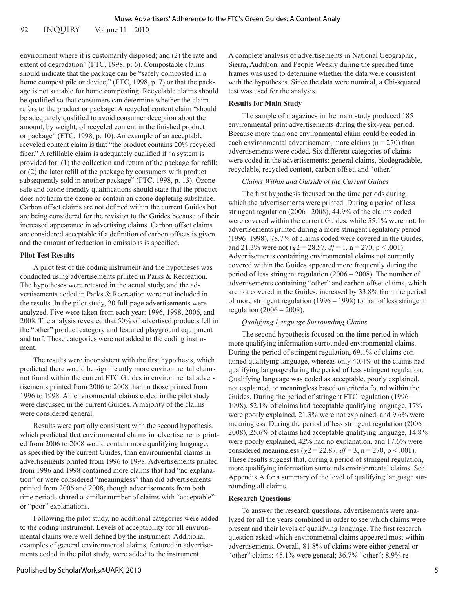92 INQUIRY Volume 11 2010

environment where it is customarily disposed; and (2) the rate and extent of degradation" (FTC, 1998, p. 6). Compostable claims should indicate that the package can be "safely composted in a home compost pile or device," (FTC, 1998, p. 7) or that the package is not suitable for home composting. Recyclable claims should be qualified so that consumers can determine whether the claim refers to the product or package. A recycled content claim "should be adequately qualified to avoid consumer deception about the amount, by weight, of recycled content in the finished product or package" (FTC, 1998, p. 10). An example of an acceptable recycled content claim is that "the product contains 20% recycled fiber." A refillable claim is adequately qualified if "a system is provided for: (1) the collection and return of the package for refill; or (2) the later refill of the package by consumers with product subsequently sold in another package" (FTC, 1998, p. 13). Ozone safe and ozone friendly qualifications should state that the product does not harm the ozone or contain an ozone depleting substance. Carbon offset claims are not defined within the current Guides but are being considered for the revision to the Guides because of their increased appearance in advertising claims. Carbon offset claims are considered acceptable if a definition of carbon offsets is given and the amount of reduction in emissions is specified.

#### **Pilot Test Results**

A pilot test of the coding instrument and the hypotheses was conducted using advertisements printed in Parks & Recreation. The hypotheses were retested in the actual study, and the advertisements coded in Parks & Recreation were not included in the results. In the pilot study, 20 full-page advertisements were analyzed. Five were taken from each year: 1996, 1998, 2006, and 2008. The analysis revealed that 50% of advertised products fell in the "other" product category and featured playground equipment and turf. These categories were not added to the coding instrument.

The results were inconsistent with the first hypothesis, which predicted there would be significantly more environmental claims not found within the current FTC Guides in environmental advertisements printed from 2006 to 2008 than in those printed from 1996 to 1998. All environmental claims coded in the pilot study were discussed in the current Guides. A majority of the claims were considered general.

Results were partially consistent with the second hypothesis, which predicted that environmental claims in advertisements printed from 2006 to 2008 would contain more qualifying language, as specified by the current Guides, than environmental claims in advertisements printed from 1996 to 1998. Advertisements printed from 1996 and 1998 contained more claims that had "no explanation" or were considered "meaningless" than did advertisements printed from 2006 and 2008, though advertisements from both time periods shared a similar number of claims with "acceptable" or "poor" explanations.

Following the pilot study, no additional categories were added to the coding instrument. Levels of acceptability for all environmental claims were well defined by the instrument. Additional examples of general environmental claims, featured in advertisements coded in the pilot study, were added to the instrument.

A complete analysis of advertisements in National Geographic, Sierra, Audubon, and People Weekly during the specified time frames was used to determine whether the data were consistent with the hypotheses. Since the data were nominal, a Chi-squared test was used for the analysis.

#### **Results for Main Study**

The sample of magazines in the main study produced 185 environmental print advertisements during the six-year period. Because more than one environmental claim could be coded in each environmental advertisement, more claims ( $n = 270$ ) than advertisements were coded. Six different categories of claims were coded in the advertisements: general claims, biodegradable, recyclable, recycled content, carbon offset, and "other."

#### *Claims Within and Outside of the Current Guides*

The first hypothesis focused on the time periods during which the advertisements were printed. During a period of less stringent regulation (2006 –2008), 44.9% of the claims coded were covered within the current Guides, while 55.1% were not. In advertisements printed during a more stringent regulatory period (1996–1998), 78.7% of claims coded were covered in the Guides, and 21.3% were not ( $\chi$ 2 = 28.57, *df* = 1, n = 270, p < .001). Advertisements containing environmental claims not currently covered within the Guides appeared more frequently during the period of less stringent regulation (2006 – 2008). The number of advertisements containing "other" and carbon offset claims, which are not covered in the Guides, increased by 33.8% from the period of more stringent regulation (1996 – 1998) to that of less stringent regulation (2006 – 2008).

#### *Qualifying Language Surrounding Claims*

The second hypothesis focused on the time period in which more qualifying information surrounded environmental claims. During the period of stringent regulation, 69.1% of claims contained qualifying language, whereas only 40.4% of the claims had qualifying language during the period of less stringent regulation. Qualifying language was coded as acceptable, poorly explained, not explained, or meaningless based on criteria found within the Guides. During the period of stringent FTC regulation (1996 – 1998), 52.1% of claims had acceptable qualifying language, 17% were poorly explained, 21.3% were not explained, and 9.6% were meaningless. During the period of less stringent regulation (2006 – 2008), 25.6% of claims had acceptable qualifying language, 14.8% were poorly explained, 42% had no explanation, and 17.6% were considered meaningless ( $\chi$ 2 = 22.87, *df* = 3, n = 270, p < .001). These results suggest that, during a period of stringent regulation, more qualifying information surrounds environmental claims. See Appendix A for a summary of the level of qualifying language surrounding all claims.

#### **Research Questions**

To answer the research questions, advertisements were analyzed for all the years combined in order to see which claims were present and their levels of qualifying language. The first research question asked which environmental claims appeared most within advertisements. Overall, 81.8% of claims were either general or "other" claims: 45.1% were general; 36.7% "other"; 8.9% re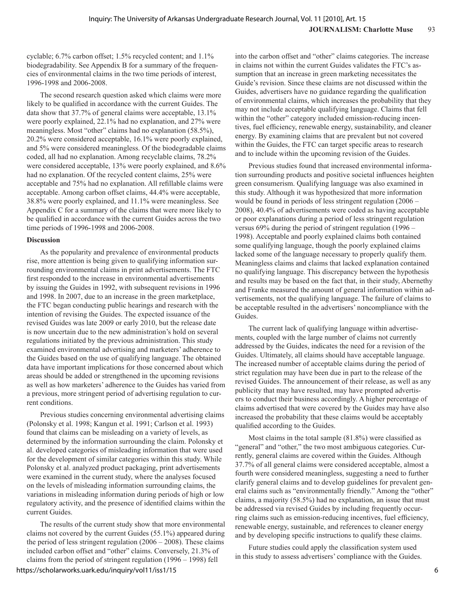cyclable; 6.7% carbon offset; 1.5% recycled content; and 1.1% biodegradability. See Appendix B for a summary of the frequencies of environmental claims in the two time periods of interest, 1996-1998 and 2006-2008.

The second research question asked which claims were more likely to be qualified in accordance with the current Guides. The data show that 37.7% of general claims were acceptable, 13.1% were poorly explained, 22.1% had no explanation, and 27% were meaningless. Most "other" claims had no explanation (58.5%), 20.2% were considered acceptable, 16.1% were poorly explained, and 5% were considered meaningless. Of the biodegradable claims coded, all had no explanation. Among recyclable claims, 78.2% were considered acceptable, 13% were poorly explained, and 8.6% had no explanation. Of the recycled content claims, 25% were acceptable and 75% had no explanation. All refillable claims were acceptable. Among carbon offset claims, 44.4% were acceptable, 38.8% were poorly explained, and 11.1% were meaningless. See Appendix C for a summary of the claims that were more likely to be qualified in accordance with the current Guides across the two time periods of 1996-1998 and 2006-2008.

#### **Discussion**

As the popularity and prevalence of environmental products rise, more attention is being given to qualifying information surrounding environmental claims in print advertisements. The FTC first responded to the increase in environmental advertisements by issuing the Guides in 1992, with subsequent revisions in 1996 and 1998. In 2007, due to an increase in the green marketplace, the FTC began conducting public hearings and research with the intention of revising the Guides. The expected issuance of the revised Guides was late 2009 or early 2010, but the release date is now uncertain due to the new administration's hold on several regulations initiated by the previous administration. This study examined environmental advertising and marketers' adherence to the Guides based on the use of qualifying language. The obtained data have important implications for those concerned about which areas should be added or strengthened in the upcoming revisions as well as how marketers' adherence to the Guides has varied from a previous, more stringent period of advertising regulation to current conditions.

Previous studies concerning environmental advertising claims (Polonsky et al. 1998; Kangun et al. 1991; Carlson et al. 1993) found that claims can be misleading on a variety of levels, as determined by the information surrounding the claim. Polonsky et al. developed categories of misleading information that were used for the development of similar categories within this study. While Polonsky et al. analyzed product packaging, print advertisements were examined in the current study, where the analyses focused on the levels of misleading information surrounding claims, the variations in misleading information during periods of high or low regulatory activity, and the presence of identified claims within the current Guides.

The results of the current study show that more environmental claims not covered by the current Guides (55.1%) appeared during the period of less stringent regulation (2006 – 2008). These claims included carbon offset and "other" claims. Conversely, 21.3% of claims from the period of stringent regulation (1996 – 1998) fell

into the carbon offset and "other" claims categories. The increase in claims not within the current Guides validates the FTC's assumption that an increase in green marketing necessitates the Guide's revision. Since these claims are not discussed within the Guides, advertisers have no guidance regarding the qualification of environmental claims, which increases the probability that they may not include acceptable qualifying language. Claims that fell within the "other" category included emission-reducing incentives, fuel efficiency, renewable energy, sustainability, and cleaner energy. By examining claims that are prevalent but not covered within the Guides, the FTC can target specific areas to research and to include within the upcoming revision of the Guides.

Previous studies found that increased environmental information surrounding products and positive societal influences heighten green consumerism. Qualifying language was also examined in this study. Although it was hypothesized that more information would be found in periods of less stringent regulation (2006 – 2008), 40.4% of advertisements were coded as having acceptable or poor explanations during a period of less stringent regulation versus 69% during the period of stringent regulation (1996 – 1998). Acceptable and poorly explained claims both contained some qualifying language, though the poorly explained claims lacked some of the language necessary to properly qualify them. Meaningless claims and claims that lacked explanation contained no qualifying language. This discrepancy between the hypothesis and results may be based on the fact that, in their study, Abernethy and Franke measured the amount of general information within advertisements, not the qualifying language. The failure of claims to be acceptable resulted in the advertisers' noncompliance with the Guides.

The current lack of qualifying language within advertisements, coupled with the large number of claims not currently addressed by the Guides, indicates the need for a revision of the Guides. Ultimately, all claims should have acceptable language. The increased number of acceptable claims during the period of strict regulation may have been due in part to the release of the revised Guides. The announcement of their release, as well as any publicity that may have resulted, may have prompted advertisers to conduct their business accordingly. A higher percentage of claims advertised that were covered by the Guides may have also increased the probability that these claims would be acceptably qualified according to the Guides.

Most claims in the total sample (81.8%) were classified as "general" and "other," the two most ambiguous categories. Currently, general claims are covered within the Guides. Although 37.7% of all general claims were considered acceptable, almost a fourth were considered meaningless, suggesting a need to further clarify general claims and to develop guidelines for prevalent general claims such as "environmentally friendly." Among the "other" claims, a majority (58.5%) had no explanation, an issue that must be addressed via revised Guides by including frequently occurring claims such as emission-reducing incentives, fuel efficiency, renewable energy, sustainable, and references to cleaner energy and by developing specific instructions to qualify these claims.

Future studies could apply the classification system used in this study to assess advertisers' compliance with the Guides.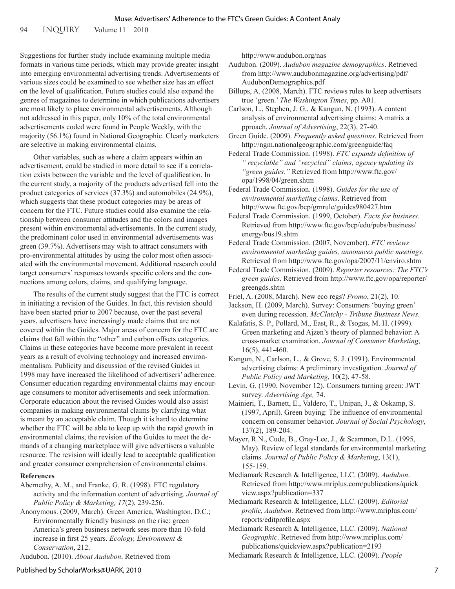94 INQUIRY Volume 11 2010

Suggestions for further study include examining multiple media formats in various time periods, which may provide greater insight into emerging environmental advertising trends. Advertisements of various sizes could be examined to see whether size has an effect on the level of qualification. Future studies could also expand the genres of magazines to determine in which publications advertisers are most likely to place environmental advertisements. Although not addressed in this paper, only 10% of the total environmental advertisements coded were found in People Weekly, with the majority (56.1%) found in National Geographic. Clearly marketers are selective in making environmental claims.

Other variables, such as where a claim appears within an advertisement, could be studied in more detail to see if a correlation exists between the variable and the level of qualification. In the current study, a majority of the products advertised fell into the product categories of services (37.3%) and automobiles (24.9%), which suggests that these product categories may be areas of concern for the FTC. Future studies could also examine the relationship between consumer attitudes and the colors and images present within environmental advertisements. In the current study, the predominant color used in environmental advertisements was green (39.7%). Advertisers may wish to attract consumers with pro-environmental attitudes by using the color most often associated with the environmental movement. Additional research could target consumers' responses towards specific colors and the connections among colors, claims, and qualifying language.

The results of the current study suggest that the FTC is correct in initiating a revision of the Guides. In fact, this revision should have been started prior to 2007 because, over the past several years, advertisers have increasingly made claims that are not covered within the Guides. Major areas of concern for the FTC are claims that fall within the "other" and carbon offsets categories. Claims in these categories have become more prevalent in recent years as a result of evolving technology and increased environmentalism. Publicity and discussion of the revised Guides in 1998 may have increased the likelihood of advertisers' adherence. Consumer education regarding environmental claims may encourage consumers to monitor advertisements and seek information. Corporate education about the revised Guides would also assist companies in making environmental claims by clarifying what is meant by an acceptable claim. Though it is hard to determine whether the FTC will be able to keep up with the rapid growth in environmental claims, the revision of the Guides to meet the demands of a changing marketplace will give advertisers a valuable resource. The revision will ideally lead to acceptable qualification and greater consumer comprehension of environmental claims.

#### **References**

- Abernethy, A. M., and Franke, G. R. (1998). FTC regulatory activity and the information content of advertising. *Journal of Public Policy & Marketing, 17*(2), 239-256.
- Anonymous. (2009, March). Green America, Washington, D.C.; Environmentally friendly business on the rise: green America's green business network sees more than 10-fold increase in first 25 years. *Ecology, Environment & Conservation*, 212.

Audubon. (2010). *About Audubon*. Retrieved from

http://www.audubon.org/nas

Audubon. (2009). *Audubon magazine demographics*. Retrieved from http://www.audubonmagazine.org/advertising/pdf/ AudubonDemographics.pdf

- Billups, A. (2008, March). FTC reviews rules to keep advertisers true 'green.' *The Washington Times*, pp. A01.
- Carlson, L., Stephen, J. G., & Kangun, N. (1993). A content analysis of environmental advertising claims: A matrix a pproach. *Journal of Advertising*, 22(3), 27-40.
- Green Guide. (2009). *Frequently asked questions*. Retrieved from http://ngm.nationalgeographic.com/greenguide/faq

Federal Trade Commission. (1998). *FTC expands definition of " recyclable" and "recycled" claims, agency updating its "green guides."* Retrieved from http://www.ftc.gov/ opa/1998/04/green.shtm

Federal Trade Commission. (1998). *Guides for the use of environmental marketing claims*. Retrieved from http://www.ftc.gov/bcp/grnrule/guides980427.htm

Federal Trade Commission. (1999, October). *Facts for business*. Retrieved from http://www.ftc.gov/bcp/edu/pubs/business/ energy/bus19.shtm

Federal Trade Commission. (2007, November). *FTC reviews environmental marketing guides, announces public meetings*. Retrieved from http://www.ftc.gov/opa/2007/11/enviro.shtm

Federal Trade Commission. (2009). *Reporter resources: The FTC's green guides*. Retrieved from http://www.ftc.gov/opa/reporter/ greengds.shtm

Friel, A. (2008, March). New eco regs? *Promo*, 21(2), 10.

- Jackson, H. (2009, March). Survey: Consumers 'buying green' even during recession. *McClatchy - Tribune Business News*.
- Kalafatis, S. P., Pollard, M., East, R., & Tsogas, M. H. (1999). Green marketing and Ajzen's theory of planned behavior: A cross-market examination. *Journal of Consumer Marketing*, 16(5), 441-460.
- Kangun, N., Carlson, L., & Grove, S. J. (1991). Environmental advertising claims: A preliminary investigation. *Journal of Public Policy and Marketing,* 10(2), 47-58.
- Levin, G. (1990, November 12). Consumers turning green: JWT survey. *Advertising Age,* 74.

Mainieri, T., Barnett, E., Valdero, T., Unipan, J., & Oskamp, S. (1997, April). Green buying: The influence of environmental concern on consumer behavior. *Journal of Social Psychology*, 137(2), 189-204.

- Mayer, R.N., Cude, B., Gray-Lee, J., & Scammon, D.L. (1995, May). Review of legal standards for environmental marketing claims. *Journal of Public Policy & Marketing*, 13(1), 155-159.
- Mediamark Research & Intelligence, LLC. (2009). *Audubon*. Retrieved from http://www.mriplus.com/publications/quick view.aspx?publication=337
- Mediamark Research & Intelligence, LLC. (2009). *Editorial profile, Audubon*. Retrieved from http://www.mriplus.com/ reports/editprofile.aspx

Mediamark Research & Intelligence, LLC. (2009). *National Geographic*. Retrieved from http://www.mriplus.com/ publications/quickview.aspx?publication=2193

Mediamark Research & Intelligence, LLC. (2009). *People*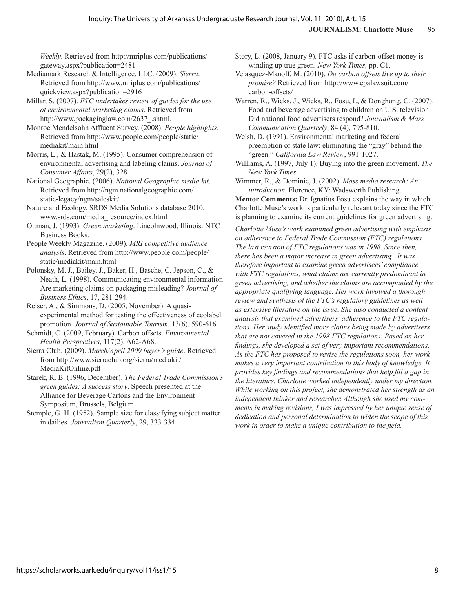*Weekly*. Retrieved from http://mriplus.com/publications/ gateway.aspx?publication=2481

Mediamark Research & Intelligence, LLC. (2009). *Sierra*. Retrieved from http://www.mriplus.com/publications/ quickview.aspx?publication=2916

Millar, S. (2007). *FTC undertakes review of guides for the use of environmental marketing claims*. Retrieved from http://www.packaginglaw.com/2637\_.shtml.

Monroe Mendelsohn Affluent Survey. (2008). *People highlights*. Retrieved from http://www.people.com/people/static/ mediakit/main.html

Morris, L., & Hastak, M. (1995). Consumer comprehension of environmental advertising and labeling claims. *Journal of Consumer Affairs*, 29(2), 328.

National Geographic. (2006). *National Geographic media kit*. Retrieved from http://ngm.nationalgeographic.com/ static-legacy/ngm/saleskit/

Nature and Ecology. SRDS Media Solutions database 2010, www.srds.com/media\_resource/index.html

Ottman, J. (1993). *Green marketing*. Lincolnwood, Illinois: NTC Business Books.

People Weekly Magazine. (2009). *MRI competitive audience analysis*. Retrieved from http://www.people.com/people/ static/mediakit/main.html

Polonsky, M. J., Bailey, J., Baker, H., Basche, C. Jepson, C., & Neath, L. (1998). Communicating environmental information: Are marketing claims on packaging misleading? *Journal of Business Ethics*, 17, 281-294.

Reiser, A., & Simmons, D. (2005, November). A quasiexperimental method for testing the effectiveness of ecolabel promotion. *Journal of Sustainable Tourism*, 13(6), 590-616.

Schmidt, C. (2009, February). Carbon offsets. *Environmental Health Perspectives*, 117(2), A62-A68.

Sierra Club. (2009). *March/April 2009 buyer's guide*. Retrieved from http://www.sierraclub.org/sierra/mediakit/ MediaKitOnline.pdf

Starek, R. B. (1996, December). *The Federal Trade Commission's green guides: A success story*. Speech presented at the Alliance for Beverage Cartons and the Environment Symposium, Brussels, Belgium.

Stemple, G. H. (1952). Sample size for classifying subject matter in dailies. *Journalism Quarterly*, 29, 333-334.

Story, L. (2008, January 9). FTC asks if carbon-offset money is winding up true green. *New York Times,* pp. C1.

Velasquez-Manoff, M. (2010). *Do carbon offsets live up to their promise?* Retrieved from http://www.epalawsuit.com/ carbon-offsets/

Warren, R., Wicks, J., Wicks, R., Fosu, I., & Donghung, C. (2007). Food and beverage advertising to children on U.S. television: Did national food advertisers respond? *Journalism & Mass Communication Quarterly*, 84 (4), 795-810.

Welsh, D. (1991). Environmental marketing and federal preemption of state law: eliminating the "gray" behind the "green." *California Law Review*, 991-1027.

Williams, A. (1997, July 1). Buying into the green movement. *The New York Times*.

Wimmer, R., & Dominic, J. (2002). *Mass media research: An introduction*. Florence, KY: Wadsworth Publishing.

**Mentor Comments:** Dr. Ignatius Fosu explains the way in which Charlotte Muse's work is particularly relevant today since the FTC is planning to examine its current guidelines for green advertising.

*Charlotte Muse's work examined green advertising with emphasis on adherence to Federal Trade Commission (FTC) regulations. The last revision of FTC regulations was in 1998. Since then, there has been a major increase in green advertising. It was therefore important to examine green advertisers' compliance with FTC regulations, what claims are currently predominant in green advertising, and whether the claims are accompanied by the appropriate qualifying language. Her work involved a thorough review and synthesis of the FTC's regulatory guidelines as well as extensive literature on the issue. She also conducted a content analysis that examined advertisers' adherence to the FTC regulations. Her study identified more claims being made by advertisers that are not covered in the 1998 FTC regulations. Based on her findings, she developed a set of very important recommendations. As the FTC has proposed to revise the regulations soon, her work makes a very important contribution to this body of knowledge. It provides key findings and recommendations that help fill a gap in the literature. Charlotte worked independently under my direction. While working on this project, she demonstrated her strength as an independent thinker and researcher. Although she used my comments in making revisions, I was impressed by her unique sense of dedication and personal determination to widen the scope of this work in order to make a unique contribution to the field.*